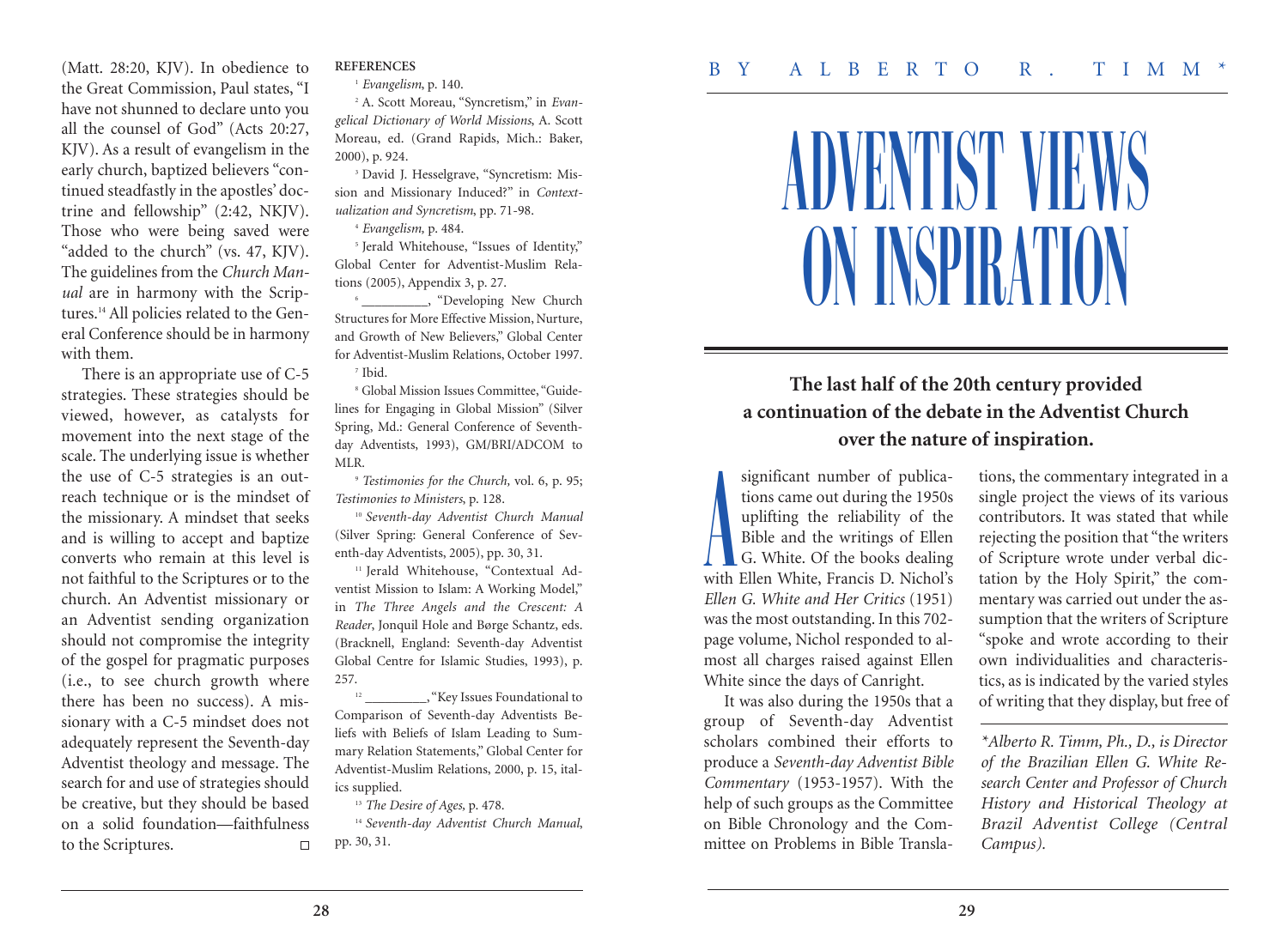## ADVENTIST VIEWS ON INSPIRATION

## **The last half of the 20th century provided a continuation of the debate in the Adventist Church over the nature of inspiration.**

significant number of publications came out during the 1950s uplifting the reliability of the Bible and the writings of Ellen G. White. Of the books dealing with Ellen White, Francis D. Nichol's *Ellen G. White and Her Critics* (1951) was the most outstanding. In this 702 page volume, Nichol responded to almost all charges raised against Ellen White since the days of Canright. A

It was also during the 1950s that a group of Seventh-day Adventist scholars combined their efforts to produce a *Seventh-day Adventist Bible Commentary* (1953-1957). With the help of such groups as the Committee on Bible Chronology and the Committee on Problems in Bible Translations, the commentary integrated in a single project the views of its various contributors. It was stated that while rejecting the position that "the writers of Scripture wrote under verbal dictation by the Holy Spirit," the commentary was carried out under the assumption that the writers of Scripture "spoke and wrote according to their own individualities and characteristics, as is indicated by the varied styles of writing that they display, but free of

*\*Alberto R. Timm, Ph., D., is Director of the Brazilian Ellen G. White Research Center and Professor of Church History and Historical Theology at Brazil Adventist College (Central Campus).*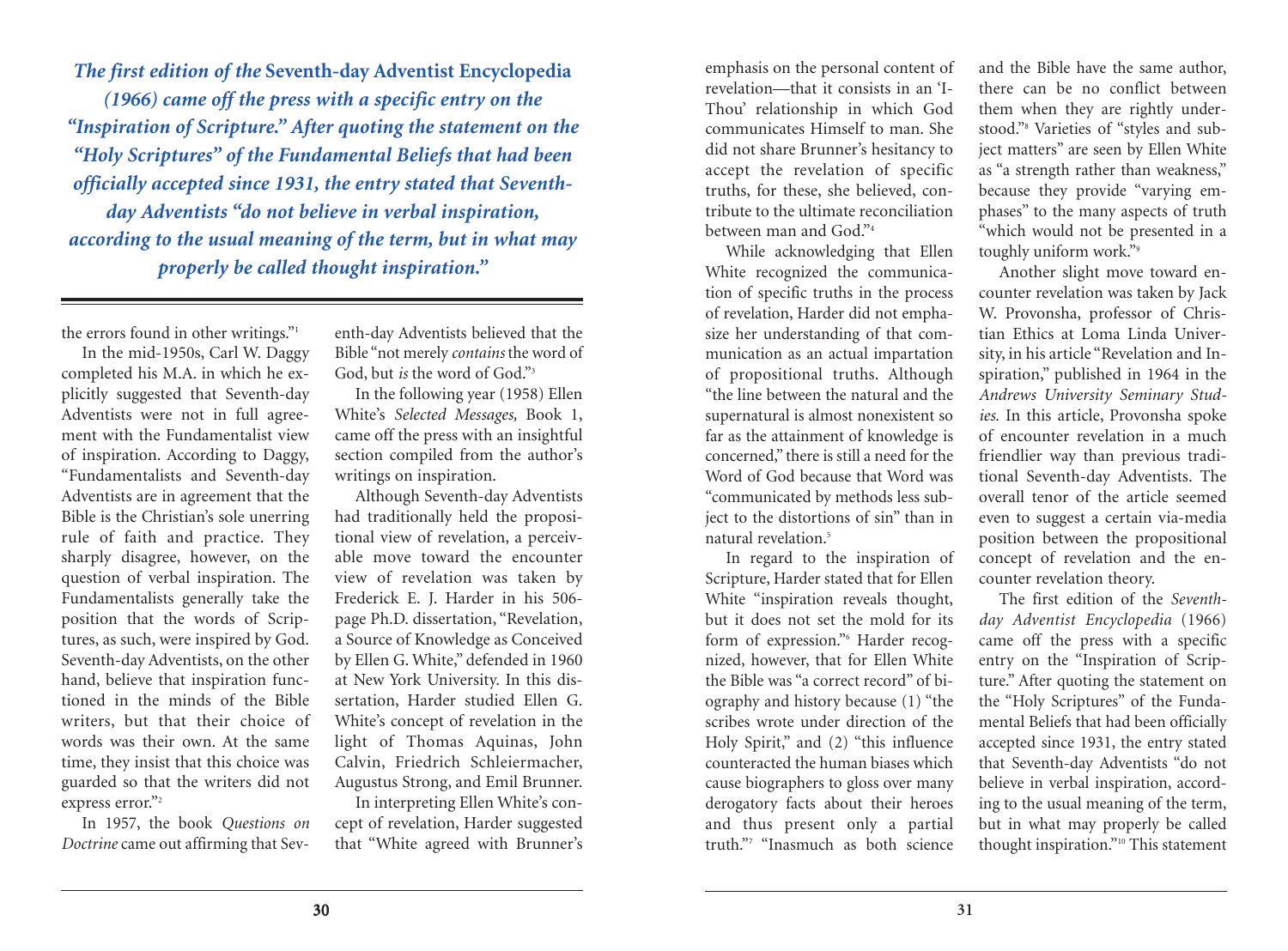*The first edition of the* **Seventh-day Adventist Encyclopedia** *(1966) came off the press with a specific entry on the "Inspiration of Scripture." After quoting the statement on the "Holy Scriptures" of the Fundamental Beliefs that had been officially accepted since 1931, the entry stated that Seventhday Adventists "do not believe in verbal inspiration, according to the usual meaning of the term, but in what may properly be called thought inspiration."*

the errors found in other writings."1

In the mid-1950s, Carl W. Daggy completed his M.A. in which he explicitly suggested that Seventh-day Adventists were not in full agreement with the Fundamentalist view of inspiration. According to Daggy, "Fundamentalists and Seventh-day Adventists are in agreement that the Bible is the Christian's sole unerring rule of faith and practice. They sharply disagree, however, on the question of verbal inspiration. The Fundamentalists generally take the position that the words of Scriptures, as such, were inspired by God. Seventh-day Adventists, on the other hand, believe that inspiration functioned in the minds of the Bible writers, but that their choice of words was their own. At the same time, they insist that this choice was guarded so that the writers did not express error."<sup>2</sup>

In 1957, the book *Questions on Doctrine* came out affirming that Seventh-day Adventists believed that the Bible "not merely *contains* the word of God, but *is* the word of God."3

In the following year (1958) Ellen White's *Selected Messages,* Book 1, came off the press with an insightful section compiled from the author's writings on inspiration.

Although Seventh-day Adventists had traditionally held the propositional view of revelation, a perceivable move toward the encounter view of revelation was taken by Frederick E. J. Harder in his 506 page Ph.D. dissertation, "Revelation, a Source of Knowledge as Conceived by Ellen G. White," defended in 1960 at New York University. In this dissertation, Harder studied Ellen G. White's concept of revelation in the light of Thomas Aquinas, John Calvin, Friedrich Schleiermacher, Augustus Strong, and Emil Brunner. In interpreting Ellen White's con-

cept of revelation, Harder suggested that "White agreed with Brunner's

emphasis on the personal content of revelation—that it consists in an 'I-Thou' relationship in which God communicates Himself to man. She did not share Brunner's hesitancy to accept the revelation of specific truths, for these, she believed, contribute to the ultimate reconciliation between man and God<sup>"4</sup>

While acknowledging that Ellen White recognized the communication of specific truths in the process of revelation, Harder did not emphasize her understanding of that communication as an actual impartation of propositional truths. Although "the line between the natural and the supernatural is almost nonexistent so far as the attainment of knowledge is concerned," there is still a need for the Word of God because that Word was "communicated by methods less subject to the distortions of sin" than in natural revelation. 5

In regard to the inspiration of Scripture, Harder stated that for Ellen White "inspiration reveals thought, but it does not set the mold for its form of expression."6 Harder recognized, however, that for Ellen White the Bible was "a correct record" of biography and history because (1) "the scribes wrote under direction of the Holy Spirit," and (2) "this influence counteracted the human biases which cause biographers to gloss over many derogatory facts about their heroes and thus present only a partial truth."7 "Inasmuch as both science

and the Bible have the same author, there can be no conflict between them when they are rightly understood."8 Varieties of "styles and subject matters" are seen by Ellen White as "a strength rather than weakness," because they provide "varying emphases" to the many aspects of truth "which would not be presented in a toughly uniform work."9

Another slight move toward encounter revelation was taken by Jack W. Provonsha, professor of Christian Ethics at Loma Linda University, in his article "Revelation and Inspiration," published in 1964 in the *Andrews University Seminary Studies.* In this article, Provonsha spoke of encounter revelation in a much friendlier way than previous traditional Seventh-day Adventists. The overall tenor of the article seemed even to suggest a certain via-media position between the propositional concept of revelation and the encounter revelation theory.

The first edition of the *Seventhday Adventist Encyclopedia* (1966) came off the press with a specific entry on the "Inspiration of Scripture." After quoting the statement on the "Holy Scriptures" of the Fundamental Beliefs that had been officially accepted since 1931, the entry stated that Seventh-day Adventists "do not believe in verbal inspiration, according to the usual meaning of the term, but in what may properly be called thought inspiration."10 This statement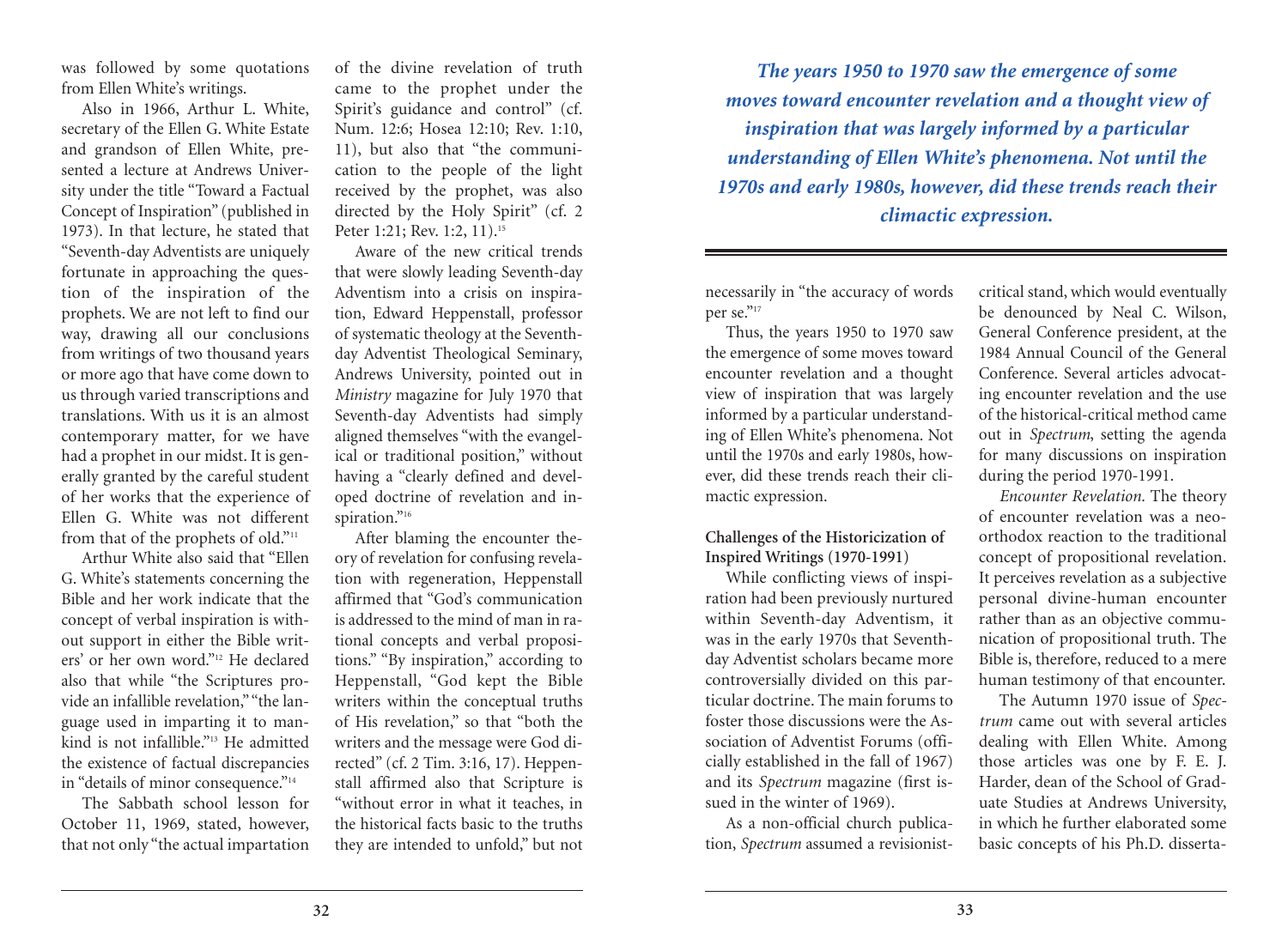was followed by some quotations from Ellen White's writings.

Also in 1966, Arthur L. White, secretary of the Ellen G. White Estate and grandson of Ellen White, presented a lecture at Andrews University under the title "Toward a Factual Concept of Inspiration" (published in 1973). In that lecture, he stated that "Seventh-day Adventists are uniquely fortunate in approaching the question of the inspiration of the prophets. We are not left to find our way, drawing all our conclusions from writings of two thousand years or more ago that have come down to us through varied transcriptions and translations. With us it is an almost contemporary matter, for we have had a prophet in our midst. It is generally granted by the careful student of her works that the experience of Ellen G. White was not different from that of the prophets of old."<sup>11</sup>

Arthur White also said that "Ellen G. White's statements concerning the Bible and her work indicate that the concept of verbal inspiration is without support in either the Bible writers' or her own word."<sup>12</sup> He declared also that while "the Scriptures provide an infallible revelation," "the language used in imparting it to mankind is not infallible."13 He admitted the existence of factual discrepancies in "details of minor consequence."<sup>14</sup>

The Sabbath school lesson for October 11, 1969, stated, however, that not only "the actual impartation

of the divine revelation of truth came to the prophet under the Spirit's guidance and control" (cf. Num. 12:6; Hosea 12:10; Rev. 1:10, 11), but also that "the communication to the people of the light received by the prophet, was also directed by the Holy Spirit" (cf. 2 Peter 1:21; Rev. 1:2, 11).<sup>15</sup>

Aware of the new critical trends that were slowly leading Seventh-day Adventism into a crisis on inspiration, Edward Heppenstall, professor of systematic theology at the Seventhday Adventist Theological Seminary, Andrews University, pointed out in *Ministry* magazine for July 1970 that Seventh-day Adventists had simply aligned themselves "with the evangelical or traditional position," without having a "clearly defined and developed doctrine of revelation and inspiration."<sup>16</sup>

After blaming the encounter theory of revelation for confusing revelation with regeneration, Heppenstall affirmed that "God's communication is addressed to the mind of man in rational concepts and verbal propositions." "By inspiration," according to Heppenstall, "God kept the Bible writers within the conceptual truths of His revelation," so that "both the writers and the message were God directed" (cf. 2 Tim. 3:16, 17). Heppenstall affirmed also that Scripture is "without error in what it teaches, in the historical facts basic to the truths they are intended to unfold," but not

*The years 1950 to 1970 saw the emergence of some moves toward encounter revelation and a thought view of inspiration that was largely informed by a particular understanding of Ellen White's phenomena. Not until the 1970s and early 1980s, however, did these trends reach their climactic expression.*

necessarily in "the accuracy of words per se."17

Thus, the years 1950 to 1970 saw the emergence of some moves toward encounter revelation and a thought view of inspiration that was largely informed by a particular understanding of Ellen White's phenomena. Not until the 1970s and early 1980s, however, did these trends reach their climactic expression.

## **Challenges of the Historicization of Inspired Writings (1970-1991)**

While conflicting views of inspiration had been previously nurtured within Seventh-day Adventism, it was in the early 1970s that Seventhday Adventist scholars became more controversially divided on this particular doctrine. The main forums to foster those discussions were the Association of Adventist Forums (officially established in the fall of 1967) and its *Spectrum* magazine (first issued in the winter of 1969).

As a non-official church publication, *Spectrum* assumed a revisionistcritical stand, which would eventually be denounced by Neal C. Wilson, General Conference president, at the 1984 Annual Council of the General Conference. Several articles advocating encounter revelation and the use of the historical-critical method came out in *Spectrum*, setting the agenda for many discussions on inspiration during the period 1970-1991.

*Encounter Revelation.* The theory of encounter revelation was a neoorthodox reaction to the traditional concept of propositional revelation. It perceives revelation as a subjective personal divine-human encounter rather than as an objective communication of propositional truth. The Bible is, therefore, reduced to a mere human testimony of that encounter.

The Autumn 1970 issue of *Spectrum* came out with several articles dealing with Ellen White. Among those articles was one by F. E. J. Harder, dean of the School of Graduate Studies at Andrews University, in which he further elaborated some basic concepts of his Ph.D. disserta-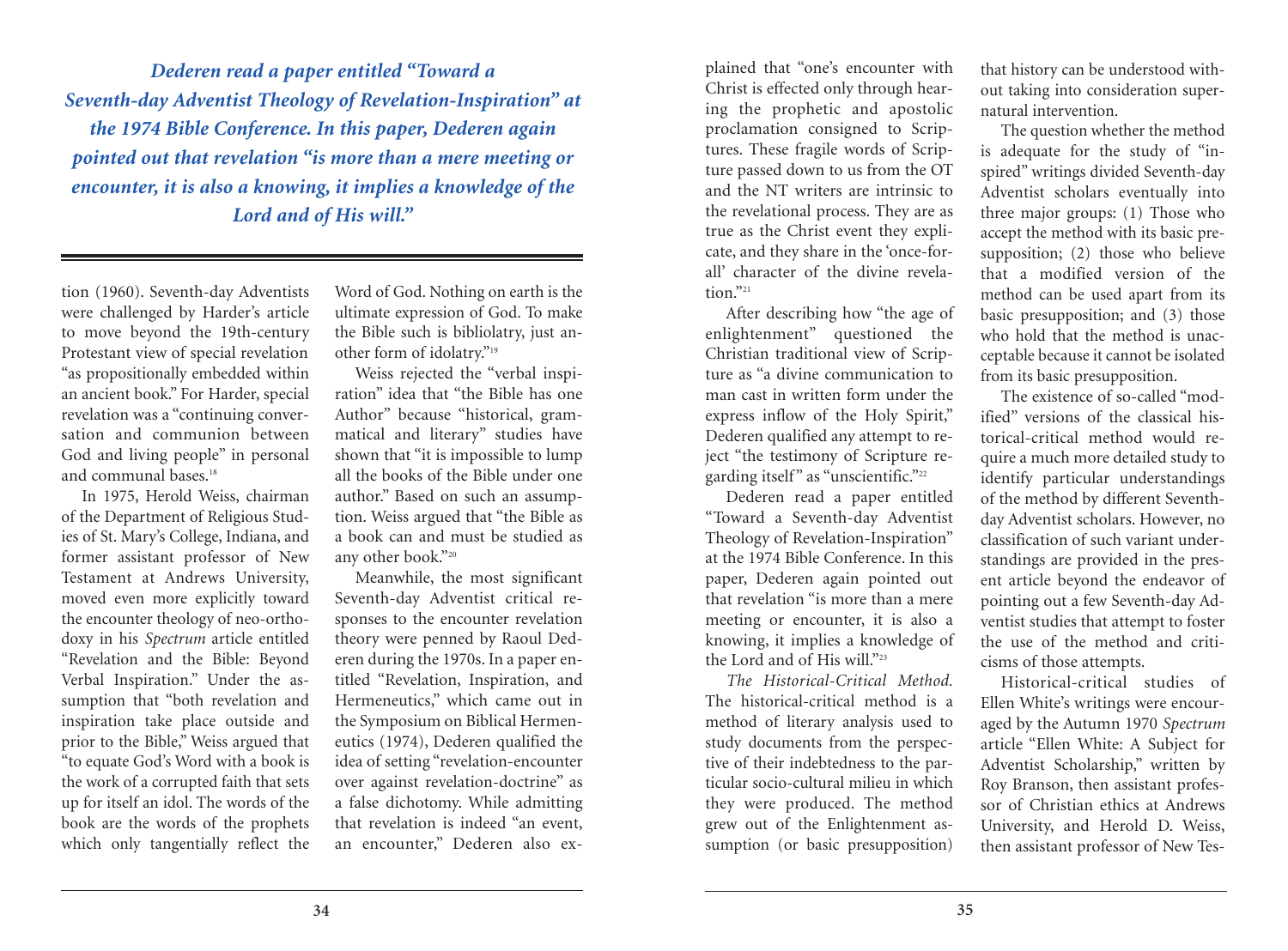*Dederen read a paper entitled "Toward a Seventh-day Adventist Theology of Revelation-Inspiration" at the 1974 Bible Conference. In this paper, Dederen again pointed out that revelation "is more than a mere meeting or encounter, it is also a knowing, it implies a knowledge of the Lord and of His will."*

tion (1960). Seventh-day Adventists were challenged by Harder's article to move beyond the 19th-century Protestant view of special revelation "as propositionally embedded within an ancient book." For Harder, special revelation was a "continuing conversation and communion between God and living people" in personal and communal bases. 18

In 1975, Herold Weiss, chairman of the Department of Religious Studies of St. Mary's College, Indiana, and former assistant professor of New Testament at Andrews University, moved even more explicitly toward the encounter theology of neo-orthodoxy in his *Spectrum* article entitled "Revelation and the Bible: Beyond Verbal Inspiration." Under the assumption that "both revelation and inspiration take place outside and prior to the Bible," Weiss argued that "to equate God's Word with a book is the work of a corrupted faith that sets up for itself an idol. The words of the book are the words of the prophets which only tangentially reflect the

Word of God. Nothing on earth is the ultimate expression of God. To make the Bible such is bibliolatry, just another form of idolatry."19

Weiss rejected the "verbal inspiration" idea that "the Bible has one Author" because "historical, grammatical and literary" studies have shown that "it is impossible to lump all the books of the Bible under one author." Based on such an assumption. Weiss argued that "the Bible as a book can and must be studied as any other book."20

Meanwhile, the most significant Seventh-day Adventist critical responses to the encounter revelation theory were penned by Raoul Dederen during the 1970s. In a paper entitled "Revelation, Inspiration, and Hermeneutics," which came out in the Symposium on Biblical Hermeneutics (1974), Dederen qualified the idea of setting "revelation-encounter over against revelation-doctrine" as a false dichotomy. While admitting that revelation is indeed "an event, an encounter," Dederen also explained that "one's encounter with Christ is effected only through hearing the prophetic and apostolic proclamation consigned to Scriptures. These fragile words of Scripture passed down to us from the OT and the NT writers are intrinsic to the revelational process. They are as true as the Christ event they explicate, and they share in the 'once-forall' character of the divine revela $t$ <sub>10n</sub> $v$ <sub>21</sub>

After describing how "the age of enlightenment" questioned the Christian traditional view of Scripture as "a divine communication to man cast in written form under the express inflow of the Holy Spirit," Dederen qualified any attempt to reject "the testimony of Scripture regarding itself" as "unscientific."22

Dederen read a paper entitled "Toward a Seventh-day Adventist Theology of Revelation-Inspiration" at the 1974 Bible Conference. In this paper, Dederen again pointed out that revelation "is more than a mere meeting or encounter, it is also a knowing, it implies a knowledge of the Lord and of His will."23

*The Historical-Critical Method.* The historical-critical method is a method of literary analysis used to study documents from the perspective of their indebtedness to the particular socio-cultural milieu in which they were produced. The method grew out of the Enlightenment assumption (or basic presupposition)

that history can be understood without taking into consideration supernatural intervention.

The question whether the method is adequate for the study of "inspired" writings divided Seventh-day Adventist scholars eventually into three major groups: (1) Those who accept the method with its basic presupposition; (2) those who believe that a modified version of the method can be used apart from its basic presupposition; and (3) those who hold that the method is unacceptable because it cannot be isolated from its basic presupposition.

The existence of so-called "modified" versions of the classical historical-critical method would require a much more detailed study to identify particular understandings of the method by different Seventhday Adventist scholars. However, no classification of such variant understandings are provided in the present article beyond the endeavor of pointing out a few Seventh-day Adventist studies that attempt to foster the use of the method and criticisms of those attempts.

Historical-critical studies of Ellen White's writings were encouraged by the Autumn 1970 *Spectrum* article "Ellen White: A Subject for Adventist Scholarship," written by Roy Branson, then assistant professor of Christian ethics at Andrews University, and Herold D. Weiss, then assistant professor of New Tes-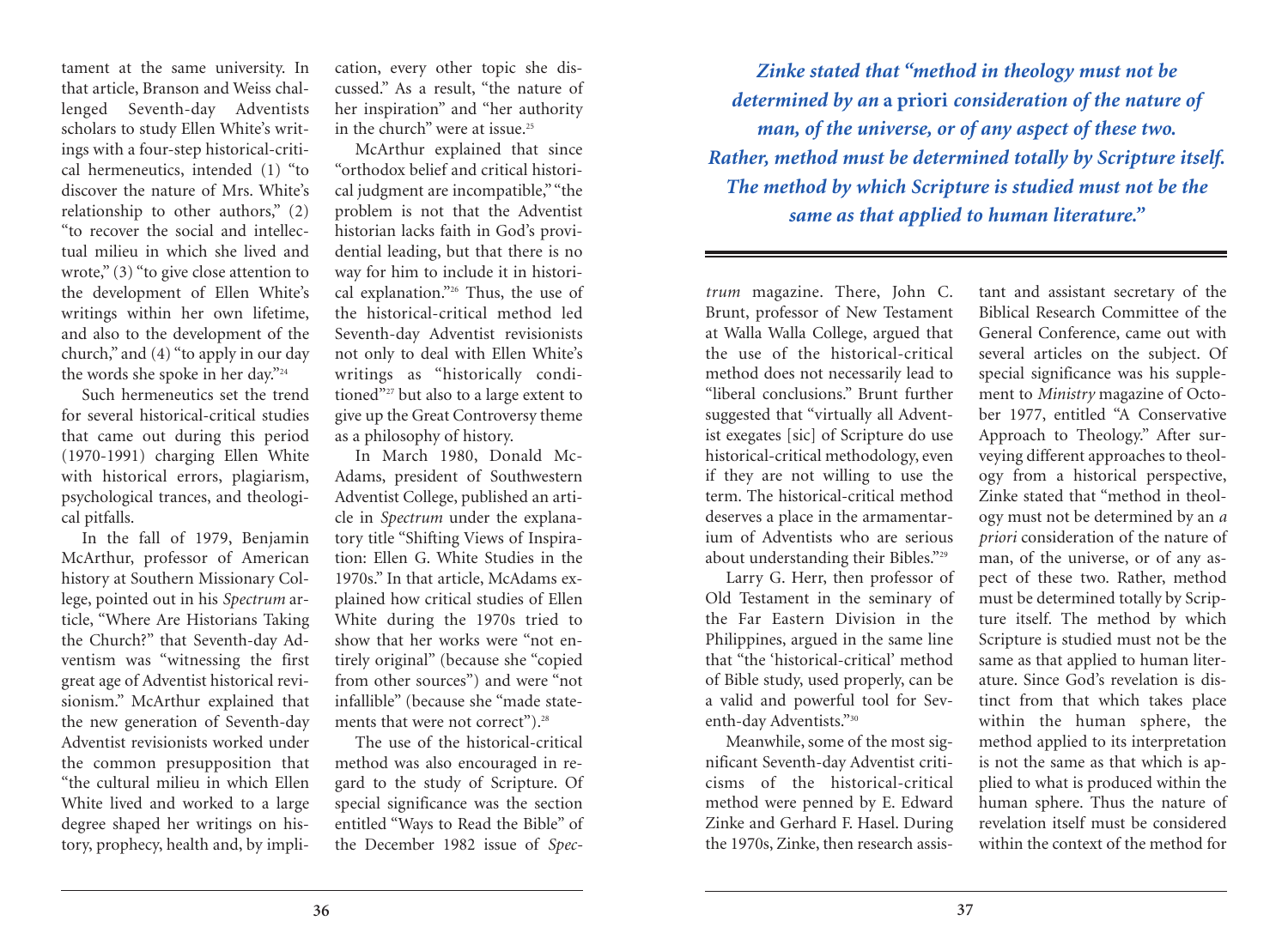tament at the same university. In that article, Branson and Weiss challenged Seventh-day Adventists scholars to study Ellen White's writings with a four-step historical-critical hermeneutics, intended (1) "to discover the nature of Mrs. White's relationship to other authors," (2) "to recover the social and intellectual milieu in which she lived and wrote," (3) "to give close attention to the development of Ellen White's writings within her own lifetime, and also to the development of the church," and (4) "to apply in our day the words she spoke in her day."24

Such hermeneutics set the trend for several historical-critical studies that came out during this period (1970-1991) charging Ellen White with historical errors, plagiarism, psychological trances, and theological pitfalls.

In the fall of 1979, Benjamin McArthur, professor of American history at Southern Missionary College, pointed out in his *Spectrum* article, "Where Are Historians Taking the Church?" that Seventh-day Adventism was "witnessing the first great age of Adventist historical revisionism." McArthur explained that the new generation of Seventh-day Adventist revisionists worked under the common presupposition that "the cultural milieu in which Ellen White lived and worked to a large degree shaped her writings on history, prophecy, health and, by implication, every other topic she discussed." As a result, "the nature of her inspiration" and "her authority in the church" were at issue. 25

McArthur explained that since "orthodox belief and critical historical judgment are incompatible," "the problem is not that the Adventist historian lacks faith in God's providential leading, but that there is no way for him to include it in historical explanation."26 Thus, the use of the historical-critical method led Seventh-day Adventist revisionists not only to deal with Ellen White's writings as "historically conditioned"<sup>27</sup> but also to a large extent to give up the Great Controversy theme as a philosophy of history.

In March 1980, Donald Mc-Adams, president of Southwestern Adventist College, published an article in *Spectrum* under the explanatory title "Shifting Views of Inspiration: Ellen G. White Studies in the 1970s." In that article, McAdams explained how critical studies of Ellen White during the 1970s tried to show that her works were "not entirely original" (because she "copied from other sources") and were "not infallible" (because she "made statements that were not correct"). 28

The use of the historical-critical method was also encouraged in regard to the study of Scripture. Of special significance was the section entitled "Ways to Read the Bible" of the December 1982 issue of *Spec-*

*Zinke stated that "method in theology must not be determined by an* **a priori** *consideration of the nature of man, of the universe, or of any aspect of these two. Rather, method must be determined totally by Scripture itself. The method by which Scripture is studied must not be the same as that applied to human literature."*

*trum* magazine. There, John C. Brunt, professor of New Testament at Walla Walla College, argued that the use of the historical-critical method does not necessarily lead to "liberal conclusions." Brunt further suggested that "virtually all Adventist exegates [sic] of Scripture do use historical-critical methodology, even if they are not willing to use the term. The historical-critical method deserves a place in the armamentarium of Adventists who are serious about understanding their Bibles."29

Larry G. Herr, then professor of Old Testament in the seminary of the Far Eastern Division in the Philippines, argued in the same line that "the 'historical-critical' method of Bible study, used properly, can be a valid and powerful tool for Seventh-day Adventists."30

Meanwhile, some of the most significant Seventh-day Adventist criticisms of the historical-critical method were penned by E. Edward Zinke and Gerhard F. Hasel. During the 1970s, Zinke, then research assistant and assistant secretary of the Biblical Research Committee of the General Conference, came out with several articles on the subject. Of special significance was his supplement to *Ministry* magazine of October 1977, entitled "A Conservative Approach to Theology." After surveying different approaches to theology from a historical perspective, Zinke stated that "method in theology must not be determined by an *a priori* consideration of the nature of man, of the universe, or of any aspect of these two. Rather, method must be determined totally by Scripture itself. The method by which Scripture is studied must not be the same as that applied to human literature. Since God's revelation is distinct from that which takes place within the human sphere, the method applied to its interpretation is not the same as that which is applied to what is produced within the human sphere. Thus the nature of revelation itself must be considered within the context of the method for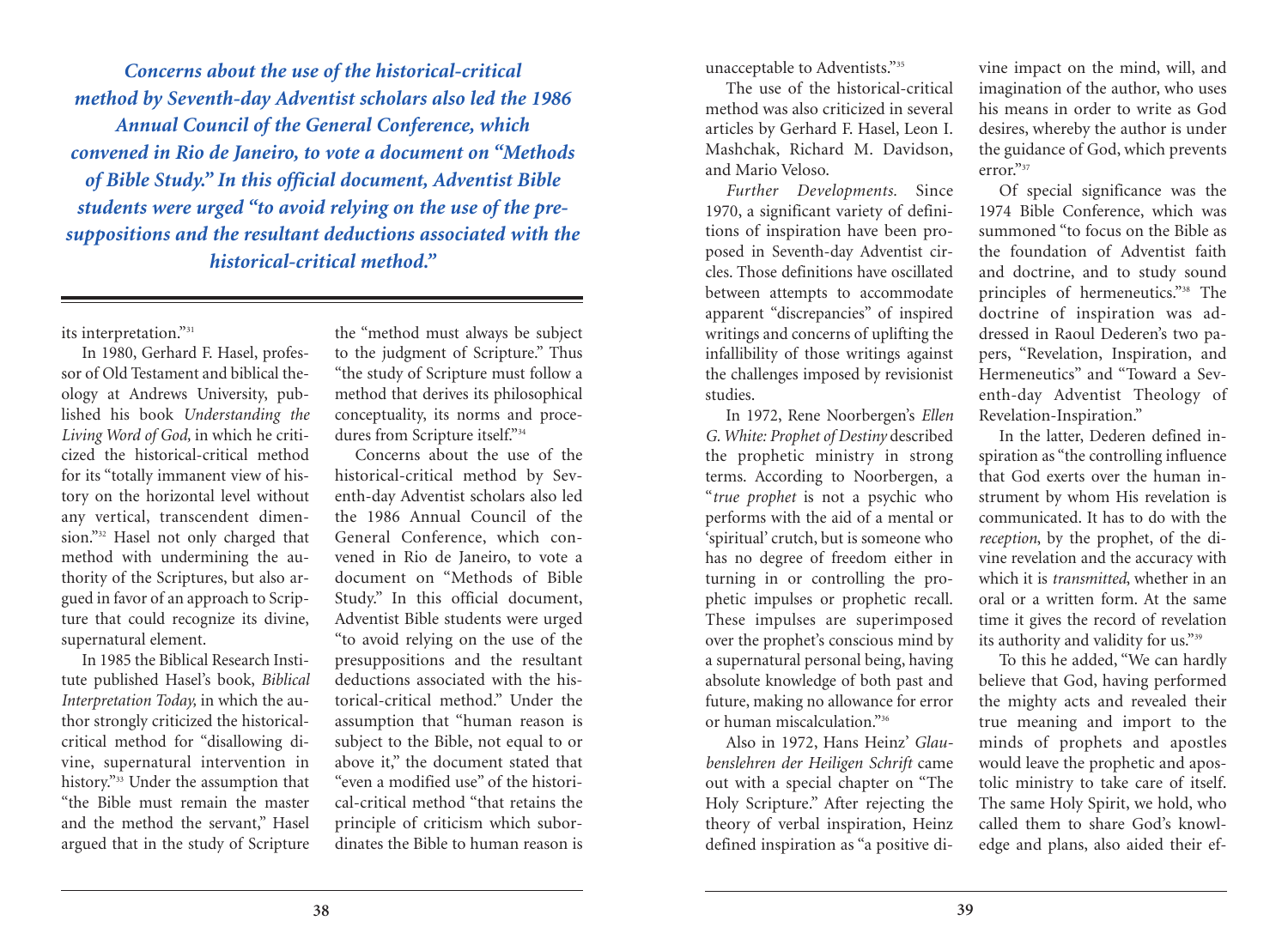*Concerns about the use of the historical-critical method by Seventh-day Adventist scholars also led the 1986 Annual Council of the General Conference, which convened in Rio de Janeiro, to vote a document on "Methods of Bible Study." In this official document, Adventist Bible students were urged "to avoid relying on the use of the presuppositions and the resultant deductions associated with the historical-critical method."*

its interpretation."31

In 1980, Gerhard F. Hasel, professor of Old Testament and biblical theology at Andrews University, published his book *Understanding the Living Word of God,* in which he criticized the historical-critical method for its "totally immanent view of history on the horizontal level without any vertical, transcendent dimension."<sup>32</sup> Hasel not only charged that method with undermining the authority of the Scriptures, but also argued in favor of an approach to Scripture that could recognize its divine, supernatural element.

In 1985 the Biblical Research Institute published Hasel's book, *Biblical Interpretation Today,* in which the author strongly criticized the historicalcritical method for "disallowing divine, supernatural intervention in history."33 Under the assumption that "the Bible must remain the master and the method the servant," Hasel argued that in the study of Scripture the "method must always be subject to the judgment of Scripture." Thus "the study of Scripture must follow a method that derives its philosophical conceptuality, its norms and procedures from Scripture itself."34

Concerns about the use of the historical-critical method by Seventh-day Adventist scholars also led the 1986 Annual Council of the General Conference, which convened in Rio de Janeiro, to vote a document on "Methods of Bible Study." In this official document, Adventist Bible students were urged "to avoid relying on the use of the presuppositions and the resultant deductions associated with the historical-critical method." Under the assumption that "human reason is subject to the Bible, not equal to or above it," the document stated that "even a modified use" of the historical-critical method "that retains the principle of criticism which subordinates the Bible to human reason is

unacceptable to Adventists."35

The use of the historical-critical method was also criticized in several articles by Gerhard F. Hasel, Leon I. Mashchak, Richard M. Davidson, and Mario Veloso.

*Further Developments.* Since 1970, a significant variety of definitions of inspiration have been proposed in Seventh-day Adventist circles. Those definitions have oscillated between attempts to accommodate apparent "discrepancies" of inspired writings and concerns of uplifting the infallibility of those writings against the challenges imposed by revisionist studies.

In 1972, Rene Noorbergen's *Ellen G. White: Prophet of Destiny* described the prophetic ministry in strong terms. According to Noorbergen, a "*true prophet* is not a psychic who performs with the aid of a mental or 'spiritual' crutch, but is someone who has no degree of freedom either in turning in or controlling the prophetic impulses or prophetic recall. These impulses are superimposed over the prophet's conscious mind by a supernatural personal being, having absolute knowledge of both past and future, making no allowance for error or human miscalculation."36

Also in 1972, Hans Heinz' *Glaubenslehren der Heiligen Schrift* came out with a special chapter on "The Holy Scripture." After rejecting the theory of verbal inspiration, Heinz defined inspiration as "a positive divine impact on the mind, will, and imagination of the author, who uses his means in order to write as God desires, whereby the author is under the guidance of God, which prevents error."37

Of special significance was the 1974 Bible Conference, which was summoned "to focus on the Bible as the foundation of Adventist faith and doctrine, and to study sound principles of hermeneutics."38 The doctrine of inspiration was addressed in Raoul Dederen's two papers, "Revelation, Inspiration, and Hermeneutics" and "Toward a Seventh-day Adventist Theology of Revelation-Inspiration."

In the latter, Dederen defined inspiration as "the controlling influence that God exerts over the human instrument by whom His revelation is communicated. It has to do with the *reception*, by the prophet, of the divine revelation and the accuracy with which it is *transmitted*, whether in an oral or a written form. At the same time it gives the record of revelation its authority and validity for us."39

To this he added, "We can hardly believe that God, having performed the mighty acts and revealed their true meaning and import to the minds of prophets and apostles would leave the prophetic and apostolic ministry to take care of itself. The same Holy Spirit, we hold, who called them to share God's knowledge and plans, also aided their ef-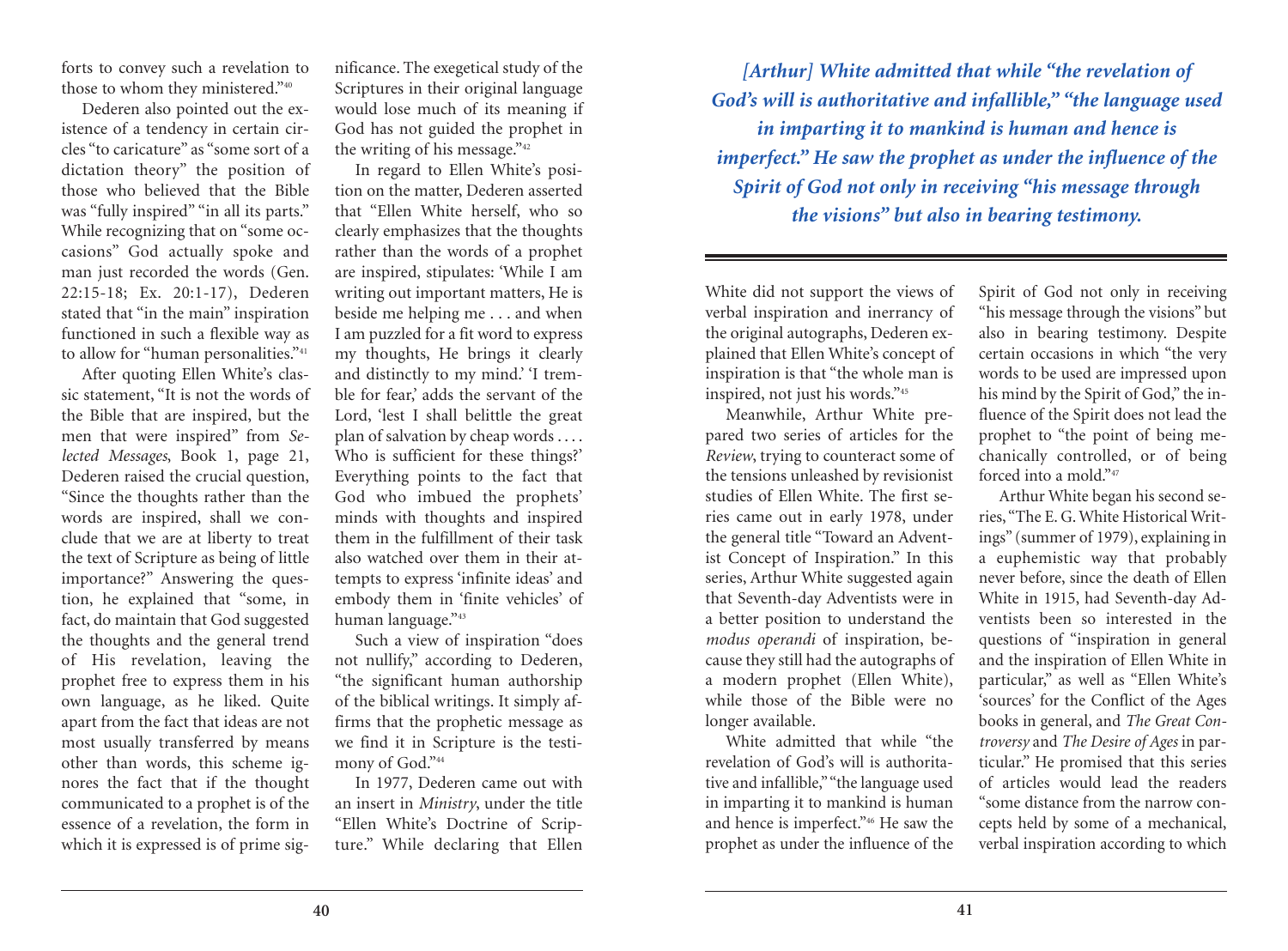forts to convey such a revelation to those to whom they ministered."40

Dederen also pointed out the existence of a tendency in certain circles "to caricature" as "some sort of a dictation theory" the position of those who believed that the Bible was "fully inspired" "in all its parts." While recognizing that on "some occasions" God actually spoke and man just recorded the words (Gen. 22:15-18; Ex. 20:1-17), Dederen stated that "in the main" inspiration functioned in such a flexible way as to allow for "human personalities."<sup>41</sup>

After quoting Ellen White's classic statement, "It is not the words of the Bible that are inspired, but the men that were inspired" from *Selected Messages*, Book 1, page 21, Dederen raised the crucial question, "Since the thoughts rather than the words are inspired, shall we conclude that we are at liberty to treat the text of Scripture as being of little importance?" Answering the question, he explained that "some, in fact, do maintain that God suggested the thoughts and the general trend of His revelation, leaving the prophet free to express them in his own language, as he liked. Quite apart from the fact that ideas are not most usually transferred by means other than words, this scheme ignores the fact that if the thought communicated to a prophet is of the essence of a revelation, the form in which it is expressed is of prime significance. The exegetical study of the Scriptures in their original language would lose much of its meaning if God has not guided the prophet in the writing of his message."42

In regard to Ellen White's position on the matter, Dederen asserted that "Ellen White herself, who so clearly emphasizes that the thoughts rather than the words of a prophet are inspired, stipulates: 'While I am writing out important matters, He is beside me helping me . . . and when I am puzzled for a fit word to express my thoughts, He brings it clearly and distinctly to my mind.' 'I tremble for fear,' adds the servant of the Lord, 'lest I shall belittle the great plan of salvation by cheap words . . . . Who is sufficient for these things?' Everything points to the fact that God who imbued the prophets' minds with thoughts and inspired them in the fulfillment of their task also watched over them in their attempts to express 'infinite ideas' and embody them in 'finite vehicles' of human language."43

Such a view of inspiration "does not nullify," according to Dederen, "the significant human authorship of the biblical writings. It simply affirms that the prophetic message as we find it in Scripture is the testimony of God."<sup>44</sup>

In 1977, Dederen came out with an insert in *Ministry*, under the title "Ellen White's Doctrine of Scripture." While declaring that Ellen

*[Arthur] White admitted that while "the revelation of God's will is authoritative and infallible," "the language used in imparting it to mankind is human and hence is imperfect." He saw the prophet as under the influence of the Spirit of God not only in receiving "his message through the visions" but also in bearing testimony.*

White did not support the views of verbal inspiration and inerrancy of the original autographs, Dederen explained that Ellen White's concept of inspiration is that "the whole man is inspired, not just his words."45

Meanwhile, Arthur White prepared two series of articles for the *Review*, trying to counteract some of the tensions unleashed by revisionist studies of Ellen White. The first series came out in early 1978, under the general title "Toward an Adventist Concept of Inspiration." In this series, Arthur White suggested again that Seventh-day Adventists were in a better position to understand the *modus operandi* of inspiration, because they still had the autographs of a modern prophet (Ellen White), while those of the Bible were no longer available.

White admitted that while "the revelation of God's will is authoritative and infallible,""the language used in imparting it to mankind is human and hence is imperfect."46 He saw the prophet as under the influence of the Spirit of God not only in receiving "his message through the visions" but also in bearing testimony. Despite certain occasions in which "the very words to be used are impressed upon his mind by the Spirit of God," the influence of the Spirit does not lead the prophet to "the point of being mechanically controlled, or of being forced into a mold."47

Arthur White began his second series, "The E. G.White Historical Writings" (summer of 1979), explaining in a euphemistic way that probably never before, since the death of Ellen White in 1915, had Seventh-day Adventists been so interested in the questions of "inspiration in general and the inspiration of Ellen White in particular," as well as "Ellen White's 'sources' for the Conflict of the Ages books in general, and *The Great Controversy* and *The Desire of Ages* in particular." He promised that this series of articles would lead the readers "some distance from the narrow concepts held by some of a mechanical, verbal inspiration according to which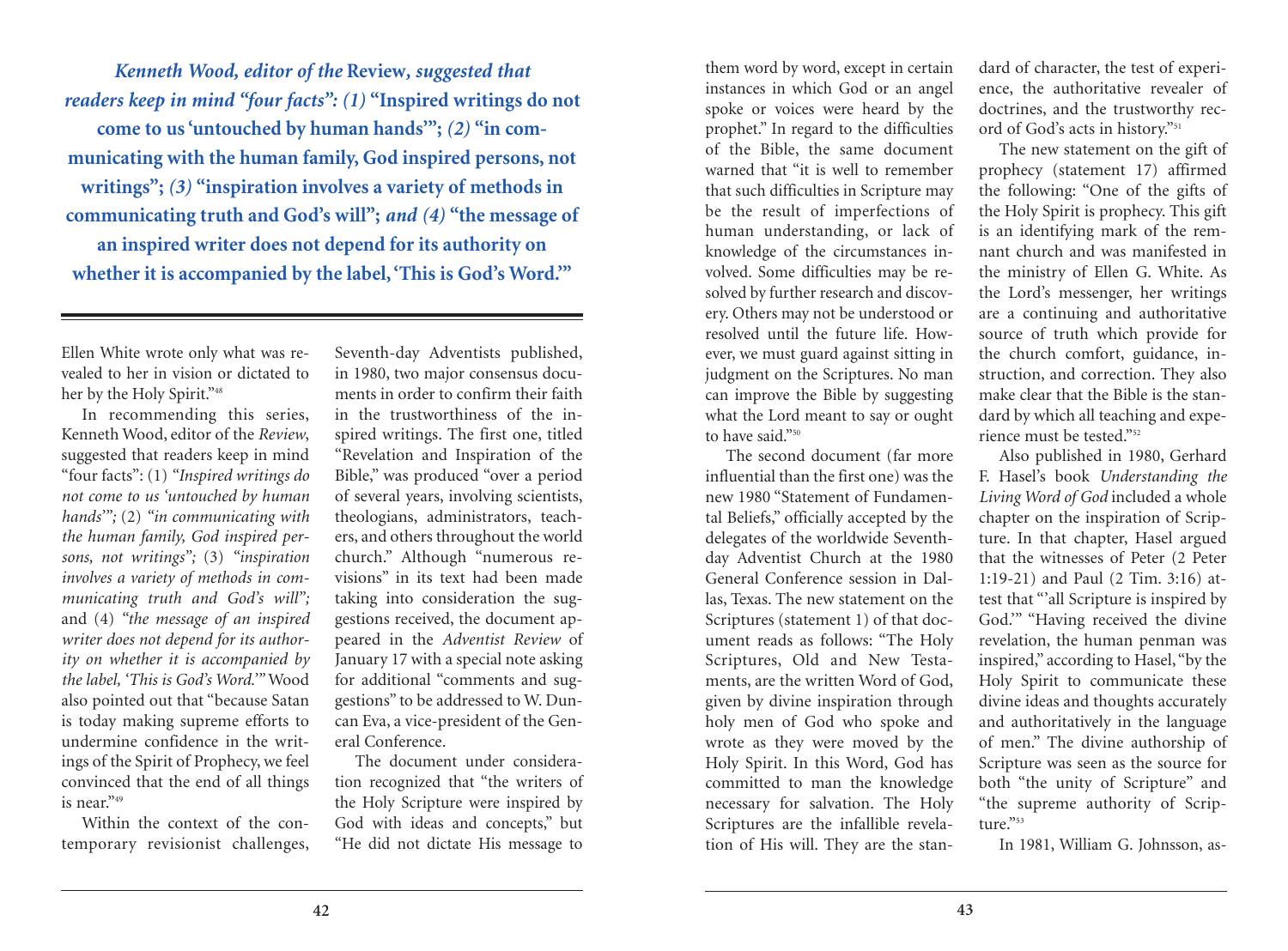*Kenneth Wood, editor of the* **Review***, suggested that readers keep in mind "four facts": (1)* **"Inspired writings do not come to us'untouched by human hands'";** *(2)* **"in communicating with the human family, God inspired persons, not writings";** *(3)* **"inspiration involves a variety of methods in communicating truth and God's will";** *and (4)* **"the message of an inspired writer does not depend for its authority on whether it is accompanied by the label, 'This is God's Word.'"**

Ellen White wrote only what was revealed to her in vision or dictated to her by the Holy Spirit."<sup>48</sup>

In recommending this series, Kenneth Wood, editor of the *Review*, suggested that readers keep in mind "four facts": (1) *"Inspired writings do not come to us 'untouched by human hands'";* (2) *"in communicating with the human family, God inspired persons, not writings";* (3) *"inspiration involves a variety of methods in communicating truth and God's will";* and (4) *"the message of an inspired writer does not depend for its authority on whether it is accompanied by the label, 'This is God's Word.'"* Wood also pointed out that "because Satan is today making supreme efforts to undermine confidence in the writings of the Spirit of Prophecy, we feel convinced that the end of all things is near."49

Within the context of the contemporary revisionist challenges, Seventh-day Adventists published, in 1980, two major consensus documents in order to confirm their faith in the trustworthiness of the inspired writings. The first one, titled "Revelation and Inspiration of the Bible," was produced "over a period of several years, involving scientists, theologians, administrators, teachers, and others throughout the world church." Although "numerous revisions" in its text had been made taking into consideration the suggestions received, the document appeared in the *Adventist Review* of January 17 with a special note asking for additional "comments and suggestions" to be addressed to W. Duncan Eva, a vice-president of the General Conference.

The document under consideration recognized that "the writers of the Holy Scripture were inspired by God with ideas and concepts," but "He did not dictate His message to

them word by word, except in certain instances in which God or an angel spoke or voices were heard by the prophet." In regard to the difficulties of the Bible, the same document warned that "it is well to remember that such difficulties in Scripture may be the result of imperfections of human understanding, or lack of knowledge of the circumstances involved. Some difficulties may be resolved by further research and discovery. Others may not be understood or resolved until the future life. However, we must guard against sitting in judgment on the Scriptures. No man can improve the Bible by suggesting what the Lord meant to say or ought to have said."50

The second document (far more influential than the first one) was the new 1980 "Statement of Fundamental Beliefs," officially accepted by the delegates of the worldwide Seventhday Adventist Church at the 1980 General Conference session in Dallas, Texas. The new statement on the Scriptures (statement 1) of that document reads as follows: "The Holy Scriptures, Old and New Testaments, are the written Word of God, given by divine inspiration through holy men of God who spoke and wrote as they were moved by the Holy Spirit. In this Word, God has committed to man the knowledge necessary for salvation. The Holy Scriptures are the infallible revelation of His will. They are the stan-

dard of character, the test of experience, the authoritative revealer of doctrines, and the trustworthy record of God's acts in history."51

The new statement on the gift of prophecy (statement 17) affirmed the following: "One of the gifts of the Holy Spirit is prophecy. This gift is an identifying mark of the remnant church and was manifested in the ministry of Ellen G. White. As the Lord's messenger, her writings are a continuing and authoritative source of truth which provide for the church comfort, guidance, instruction, and correction. They also make clear that the Bible is the standard by which all teaching and experience must be tested<sup>"52</sup>

Also published in 1980, Gerhard F. Hasel's book *Understanding the Living Word of God* included a whole chapter on the inspiration of Scripture. In that chapter, Hasel argued that the witnesses of Peter (2 Peter 1:19-21) and Paul (2 Tim. 3:16) attest that "'all Scripture is inspired by God.'" "Having received the divine revelation, the human penman was inspired," according to Hasel, "by the Holy Spirit to communicate these divine ideas and thoughts accurately and authoritatively in the language of men." The divine authorship of Scripture was seen as the source for both "the unity of Scripture" and "the supreme authority of Scripture<sup>"53</sup>

In 1981, William G. Johnsson, as-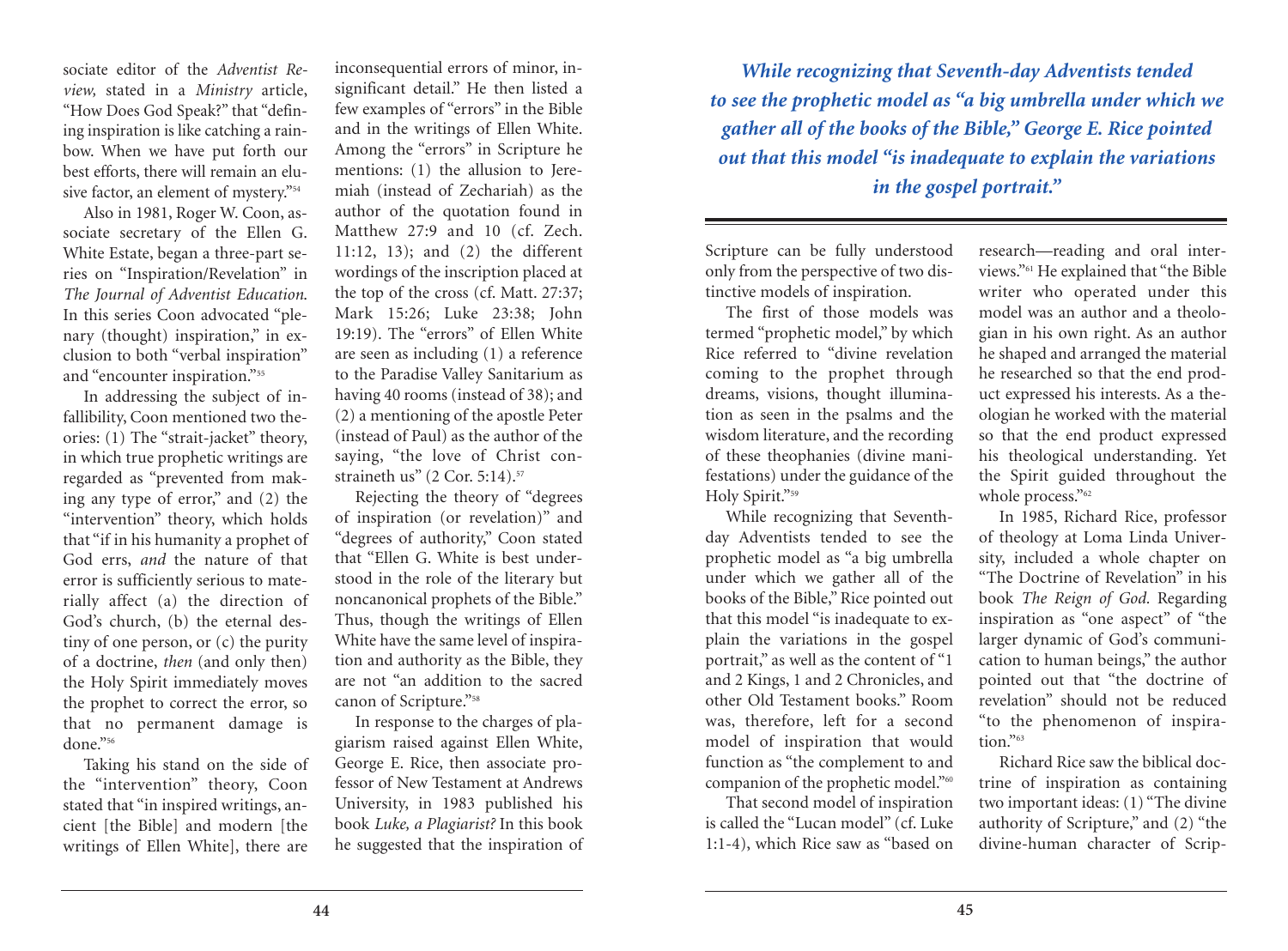sociate editor of the *Adventist Review,* stated in a *Ministry* article, "How Does God Speak?" that "defining inspiration is like catching a rainbow. When we have put forth our best efforts, there will remain an elusive factor, an element of mystery."54

Also in 1981, Roger W. Coon, associate secretary of the Ellen G. White Estate, began a three-part series on "Inspiration/Revelation" in *The Journal of Adventist Education*. In this series Coon advocated "plenary (thought) inspiration," in exclusion to both "verbal inspiration" and "encounter inspiration."55

In addressing the subject of infallibility, Coon mentioned two theories: (1) The "strait-jacket" theory, in which true prophetic writings are regarded as "prevented from making any type of error," and (2) the "intervention" theory, which holds that "if in his humanity a prophet of God errs, *and* the nature of that error is sufficiently serious to materially affect (a) the direction of God's church, (b) the eternal destiny of one person, or (c) the purity of a doctrine, *then* (and only then) the Holy Spirit immediately moves the prophet to correct the error, so that no permanent damage is done."56

Taking his stand on the side of the "intervention" theory, Coon stated that "in inspired writings, ancient [the Bible] and modern [the writings of Ellen White], there are

inconsequential errors of minor, insignificant detail." He then listed a few examples of "errors" in the Bible and in the writings of Ellen White. Among the "errors" in Scripture he mentions: (1) the allusion to Jeremiah (instead of Zechariah) as the author of the quotation found in Matthew 27:9 and 10 (cf. Zech. 11:12, 13); and (2) the different wordings of the inscription placed at the top of the cross (cf. Matt. 27:37; Mark 15:26; Luke 23:38; John 19:19). The "errors" of Ellen White are seen as including (1) a reference to the Paradise Valley Sanitarium as having 40 rooms (instead of 38); and (2) a mentioning of the apostle Peter (instead of Paul) as the author of the saying, "the love of Christ constraineth us" (2 Cor. 5:14). 57

Rejecting the theory of "degrees of inspiration (or revelation)" and "degrees of authority," Coon stated that "Ellen G. White is best understood in the role of the literary but noncanonical prophets of the Bible." Thus, though the writings of Ellen White have the same level of inspiration and authority as the Bible, they are not "an addition to the sacred canon of Scripture."<sup>58</sup>

In response to the charges of plagiarism raised against Ellen White, George E. Rice, then associate professor of New Testament at Andrews University, in 1983 published his book *Luke, a Plagiarist?* In this book he suggested that the inspiration of

*While recognizing that Seventh-day Adventists tended to see the prophetic model as "a big umbrella under which we gather all of the books of the Bible," George E. Rice pointed out that this model "is inadequate to explain the variations in the gospel portrait."*

Scripture can be fully understood only from the perspective of two distinctive models of inspiration.

The first of those models was termed "prophetic model," by which Rice referred to "divine revelation coming to the prophet through dreams, visions, thought illumination as seen in the psalms and the wisdom literature, and the recording of these theophanies (divine manifestations) under the guidance of the Holy Spirit."59

While recognizing that Seventhday Adventists tended to see the prophetic model as "a big umbrella under which we gather all of the books of the Bible," Rice pointed out that this model "is inadequate to explain the variations in the gospel portrait," as well as the content of "1 and 2 Kings, 1 and 2 Chronicles, and other Old Testament books." Room was, therefore, left for a second model of inspiration that would function as "the complement to and companion of the prophetic model."60

That second model of inspiration is called the "Lucan model" (cf. Luke 1:1-4), which Rice saw as "based on

research—reading and oral interviews."61 He explained that "the Bible writer who operated under this model was an author and a theologian in his own right. As an author he shaped and arranged the material he researched so that the end product expressed his interests. As a theologian he worked with the material so that the end product expressed his theological understanding. Yet the Spirit guided throughout the whole process."<sup>62</sup>

In 1985, Richard Rice, professor of theology at Loma Linda University, included a whole chapter on "The Doctrine of Revelation" in his book *The Reign of God.* Regarding inspiration as "one aspect" of "the larger dynamic of God's communication to human beings," the author pointed out that "the doctrine of revelation" should not be reduced "to the phenomenon of inspiration."<sup>63</sup>

Richard Rice saw the biblical doctrine of inspiration as containing two important ideas: (1) "The divine authority of Scripture," and (2) "the divine-human character of Scrip-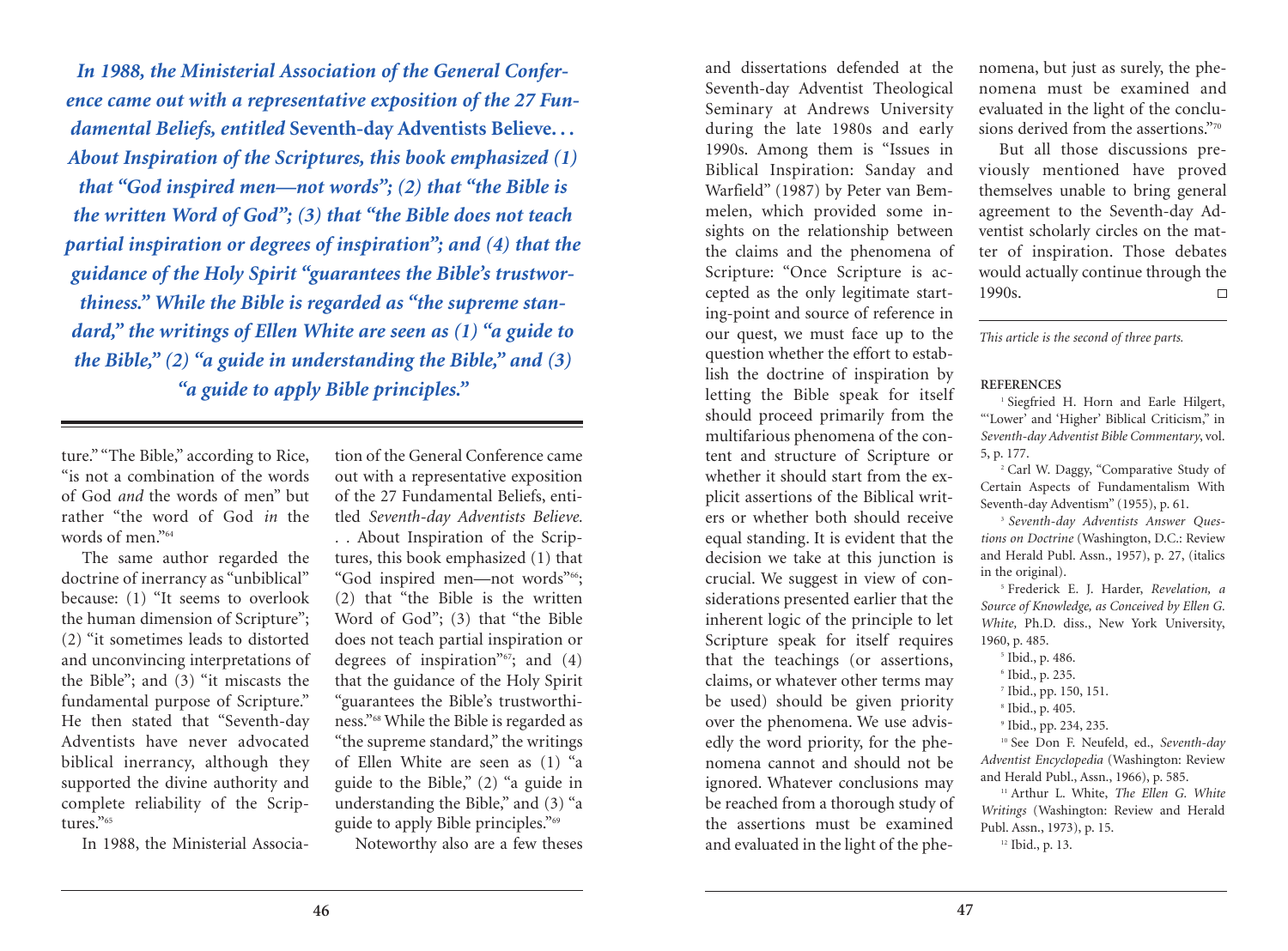*In 1988, the Ministerial Association of the General Conference came out with a representative exposition of the 27 Fundamental Beliefs, entitled* **Seventh-day Adventists Believe. . .** *About Inspiration of the Scriptures, this book emphasized (1) that "God inspired men—not words"; (2) that "the Bible is the written Word of God"; (3) that "the Bible does not teach partial inspiration or degrees of inspiration"; and (4) that the guidance of the Holy Spirit "guarantees the Bible's trustworthiness." While the Bible is regarded as "the supreme standard," the writings of Ellen White are seen as (1) "a guide to the Bible," (2) "a guide in understanding the Bible," and (3)* **"a guide to apply Bible principles." REFERENCES** 1 SIN THE COUNTROL OF INSPITATION OF REFERENCES 1 Siegfried H. Horn and Earle Hilgert,

ture." "The Bible," according to Rice, "is not a combination of the words of God *and* the words of men" but rather "the word of God *in* the words of men."<sup>64</sup>

The same author regarded the doctrine of inerrancy as "unbiblical" because: (1) "It seems to overlook the human dimension of Scripture"; (2) "it sometimes leads to distorted and unconvincing interpretations of the Bible"; and (3) "it miscasts the fundamental purpose of Scripture." He then stated that "Seventh-day Adventists have never advocated biblical inerrancy, although they supported the divine authority and complete reliability of the Scriptures."<sup>65</sup>

In 1988, the Ministerial Associa-

tion of the General Conference came out with a representative exposition of the 27 Fundamental Beliefs, entitled *Seventh-day Adventists Believe. . .* About Inspiration of the Scriptures*,* this book emphasized (1) that "God inspired men-not words"<sup>66</sup>; (2) that "the Bible is the written Word of God"; (3) that "the Bible does not teach partial inspiration or degrees of inspiration"<sup>67</sup>; and (4) that the guidance of the Holy Spirit "guarantees the Bible's trustworthiness."68 While the Bible is regarded as "the supreme standard," the writings of Ellen White are seen as (1) "a guide to the Bible," (2) "a guide in understanding the Bible," and (3) "a guide to apply Bible principles."69

Noteworthy also are a few theses

and dissertations defended at the Seventh-day Adventist Theological Seminary at Andrews University during the late 1980s and early 1990s. Among them is "Issues in Biblical Inspiration: Sanday and Warfield" (1987) by Peter van Bemmelen, which provided some insights on the relationship between the claims and the phenomena of Scripture: "Once Scripture is accepted as the only legitimate starting-point and source of reference in our quest, we must face up to the question whether the effort to establish the doctrine of inspiration by letting the Bible speak for itself should proceed primarily from the multifarious phenomena of the content and structure of Scripture or whether it should start from the explicit assertions of the Biblical writers or whether both should receive equal standing. It is evident that the decision we take at this junction is crucial. We suggest in view of considerations presented earlier that the inherent logic of the principle to let Scripture speak for itself requires that the teachings (or assertions, claims, or whatever other terms may be used) should be given priority over the phenomena. We use advisedly the word priority, for the phenomena cannot and should not be ignored. Whatever conclusions may be reached from a thorough study of the assertions must be examined and evaluated in the light of the phenomena, but just as surely, the phenomena must be examined and evaluated in the light of the conclusions derived from the assertions."70

But all those discussions previously mentioned have proved themselves unable to bring general agreement to the Seventh-day Adventist scholarly circles on the matter of inspiration. Those debates would actually continue through the 1990s.  $\Box$ 

*This article is the second of three parts.*

"'Lower' and 'Higher' Biblical Criticism," in *Seventh-day Adventist Bible Commentary*, vol. 5, p. 177.

<sup>2</sup> Carl W. Daggy, "Comparative Study of Certain Aspects of Fundamentalism With Seventh-day Adventism" (1955), p. 61.

<sup>3</sup> *Seventh-day Adventists Answer Questions on Doctrine* (Washington, D.C.: Review and Herald Publ. Assn., 1957), p. 27, (italics in the original).

<sup>5</sup> Frederick E. J. Harder, *Revelation, a Source of Knowledge, as Conceived by Ellen G. White,* Ph.D. diss., New York University, 1960, p. 485.

 Ibid., p. 486. Ibid., p. 235. Ibid., pp. 150, 151. Ibid., p. 405.

<sup>9</sup> Ibid., pp. 234, 235.

<sup>10</sup> See Don F. Neufeld, ed., *Seventh-day Adventist Encyclopedia* (Washington: Review and Herald Publ., Assn., 1966), p. 585.

<sup>11</sup> Arthur L. White, *The Ellen G. White Writings* (Washington: Review and Herald Publ. Assn., 1973), p. 15.

<sup>12</sup> Ibid., p. 13.